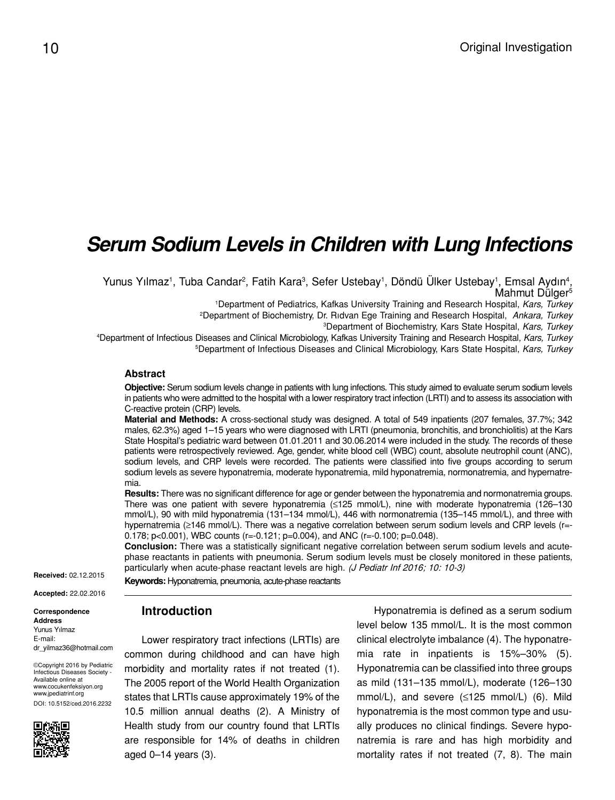# *Serum Sodium Levels in Children with Lung Infections*

Yunus Yılmaz<sup>1</sup>, Tuba Candar<sup>2</sup>, Fatih Kara<sup>3</sup>, Sefer Ustebay<sup>1</sup>, Döndü Ülker Ustebay<sup>1</sup>, Emsal Aydın<sup>4</sup>, Mahmut Dülger<sup>5</sup>

1 Department of Pediatrics, Kafkas University Training and Research Hospital, *Kars, Turkey*

2 Department of Biochemistry, Dr. Rıdvan Ege Training and Research Hospital, *Ankara, Turkey*

3 Department of Biochemistry, Kars State Hospital, *Kars, Turkey*

4 Department of Infectious Diseases and Clinical Microbiology, Kafkas University Training and Research Hospital, *Kars, Turkey* 5 Department of Infectious Diseases and Clinical Microbiology, Kars State Hospital, *Kars, Turkey*

#### **Abstract**

**Objective:** Serum sodium levels change in patients with lung infections. This study aimed to evaluate serum sodium levels in patients who were admitted to the hospital with a lower respiratory tract infection (LRTI) and to assess its association with C-reactive protein (CRP) levels.

**Material and Methods:** A cross-sectional study was designed. A total of 549 inpatients (207 females, 37.7%; 342 males, 62.3%) aged 1–15 years who were diagnosed with LRTI (pneumonia, bronchitis, and bronchiolitis) at the Kars State Hospital's pediatric ward between 01.01.2011 and 30.06.2014 were included in the study. The records of these patients were retrospectively reviewed. Age, gender, white blood cell (WBC) count, absolute neutrophil count (ANC), sodium levels, and CRP levels were recorded. The patients were classified into five groups according to serum sodium levels as severe hyponatremia, moderate hyponatremia, mild hyponatremia, normonatremia, and hypernatremia.

**Results:** There was no significant difference for age or gender between the hyponatremia and normonatremia groups. There was one patient with severe hyponatremia (≤125 mmol/L), nine with moderate hyponatremia (126–130 mmol/L), 90 with mild hyponatremia (131–134 mmol/L), 446 with normonatremia (135–145 mmol/L), and three with hypernatremia (≥146 mmol/L). There was a negative correlation between serum sodium levels and CRP levels (r=-0.178; p<0.001), WBC counts (r=-0.121; p=0.004), and ANC (r=-0.100; p=0.048).

**Conclusion:** There was a statistically significant negative correlation between serum sodium levels and acutephase reactants in patients with pneumonia. Serum sodium levels must be closely monitored in these patients, particularly when acute-phase reactant levels are high. (J Pediatr Inf 2016; 10: 10-3)

**Received:** 02.12.2015

**Keywords:** Hyponatremia, pneumonia, acute-phase reactants

#### **Introduction**

Lower respiratory tract infections (LRTIs) are common during childhood and can have high morbidity and mortality rates if not treated (1). The 2005 report of the World Health Organization states that LRTIs cause approximately 19% of the 10.5 million annual deaths (2). A Ministry of Health study from our country found that LRTIs are responsible for 14% of deaths in children aged 0–14 years (3).

Hyponatremia is defined as a serum sodium level below 135 mmol/L. It is the most common clinical electrolyte imbalance (4). The hyponatremia rate in inpatients is 15%–30% (5). Hyponatremia can be classified into three groups as mild (131–135 mmol/L), moderate (126–130 mmol/L), and severe (≤125 mmol/L) (6). Mild hyponatremia is the most common type and usually produces no clinical findings. Severe hyponatremia is rare and has high morbidity and mortality rates if not treated (7, 8). The main

**Accepted:** 22.02.2016

**Correspondence Address** Yunus Yılmaz E-mail: dr\_yilmaz36@hotmail.com

©Copyright 2016 by Pediatric Infectious Diseases Society - Available online at www.cocukenfeksiyon.org www.jpediatrinf.org DOI: 10.5152/ced.2016.2232

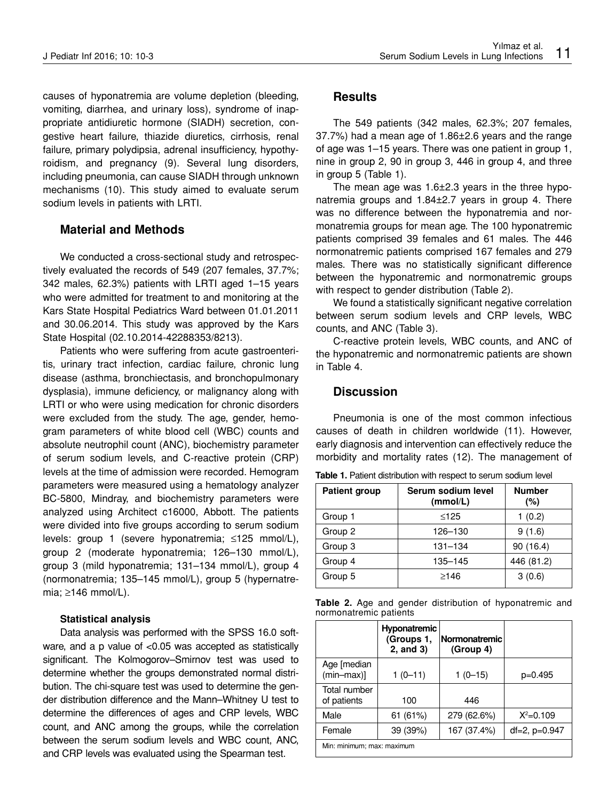causes of hyponatremia are volume depletion (bleeding, vomiting, diarrhea, and urinary loss), syndrome of inappropriate antidiuretic hormone (SIADH) secretion, congestive heart failure, thiazide diuretics, cirrhosis, renal failure, primary polydipsia, adrenal insufficiency, hypothyroidism, and pregnancy (9). Several lung disorders, including pneumonia, can cause SIADH through unknown mechanisms (10). This study aimed to evaluate serum sodium levels in patients with LRTI.

# **Material and Methods**

We conducted a cross-sectional study and retrospectively evaluated the records of 549 (207 females, 37.7%; 342 males, 62.3%) patients with LRTI aged 1–15 years who were admitted for treatment to and monitoring at the Kars State Hospital Pediatrics Ward between 01.01.2011 and 30.06.2014. This study was approved by the Kars State Hospital (02.10.2014-42288353/8213).

Patients who were suffering from acute gastroenteritis, urinary tract infection, cardiac failure, chronic lung disease (asthma, bronchiectasis, and bronchopulmonary dysplasia), immune deficiency, or malignancy along with LRTI or who were using medication for chronic disorders were excluded from the study. The age, gender, hemogram parameters of white blood cell (WBC) counts and absolute neutrophil count (ANC), biochemistry parameter of serum sodium levels, and C-reactive protein (CRP) levels at the time of admission were recorded. Hemogram parameters were measured using a hematology analyzer BC-5800, Mindray, and biochemistry parameters were analyzed using Architect c16000, Abbott. The patients were divided into five groups according to serum sodium levels: group 1 (severe hyponatremia; ≤125 mmol/L), group 2 (moderate hyponatremia; 126–130 mmol/L), group 3 (mild hyponatremia; 131–134 mmol/L), group 4 (normonatremia; 135–145 mmol/L), group 5 (hypernatremia; ≥146 mmol/L).

#### **Statistical analysis**

Data analysis was performed with the SPSS 16.0 software, and a p value of <0.05 was accepted as statistically significant. The Kolmogorov–Smirnov test was used to determine whether the groups demonstrated normal distribution. The chi-square test was used to determine the gender distribution difference and the Mann–Whitney U test to determine the differences of ages and CRP levels, WBC count, and ANC among the groups, while the correlation between the serum sodium levels and WBC count, ANC, and CRP levels was evaluated using the Spearman test.

## **Results**

The 549 patients (342 males, 62.3%; 207 females, 37.7%) had a mean age of 1.86±2.6 years and the range of age was 1–15 years. There was one patient in group 1, nine in group 2, 90 in group 3, 446 in group 4, and three in group 5 (Table 1).

The mean age was 1.6±2.3 years in the three hyponatremia groups and 1.84±2.7 years in group 4. There was no difference between the hyponatremia and normonatremia groups for mean age. The 100 hyponatremic patients comprised 39 females and 61 males. The 446 normonatremic patients comprised 167 females and 279 males. There was no statistically significant difference between the hyponatremic and normonatremic groups with respect to gender distribution (Table 2).

We found a statistically significant negative correlation between serum sodium levels and CRP levels, WBC counts, and ANC (Table 3).

C-reactive protein levels, WBC counts, and ANC of the hyponatremic and normonatremic patients are shown in Table 4.

# **Discussion**

Pneumonia is one of the most common infectious causes of death in children worldwide (11). However, early diagnosis and intervention can effectively reduce the morbidity and mortality rates (12). The management of

| <b>Patient group</b> | Serum sodium level<br>(mmol/L) | <b>Number</b><br>(%) |
|----------------------|--------------------------------|----------------------|
| Group 1              | $\leq$ 125                     | 1(0.2)               |
| Group 2              | 126-130                        | 9(1.6)               |
| Group 3              | $131 - 134$                    | 90(16.4)             |
| Group 4              | 135-145                        | 446 (81.2)           |
| Group 5              | $\geq$ 146                     | 3(0.6)               |

Table 1. Patient distribution with respect to serum sodium level

|                        |  |  |  |  |  |  | <b>Table 2.</b> Age and gender distribution of hyponatremic and |  |
|------------------------|--|--|--|--|--|--|-----------------------------------------------------------------|--|
| normonatremic patients |  |  |  |  |  |  |                                                                 |  |

|                             | Hyponatremic<br>(Groups 1,<br>$2$ , and $3)$ | Normonatremic<br>(Group 4) |               |  |
|-----------------------------|----------------------------------------------|----------------------------|---------------|--|
| Age [median<br>$(min-max)]$ | $1(0-11)$                                    | $1(0-15)$                  | $p=0.495$     |  |
| Total number<br>of patients | 100                                          | 446                        |               |  |
| Male                        | 61 (61%)                                     | 279 (62.6%)                | $X^2 = 0.109$ |  |
| Female                      | 39 (39%)                                     | 167 (37.4%)                | df=2, p=0.947 |  |
| Min: minimum; max: maximum  |                                              |                            |               |  |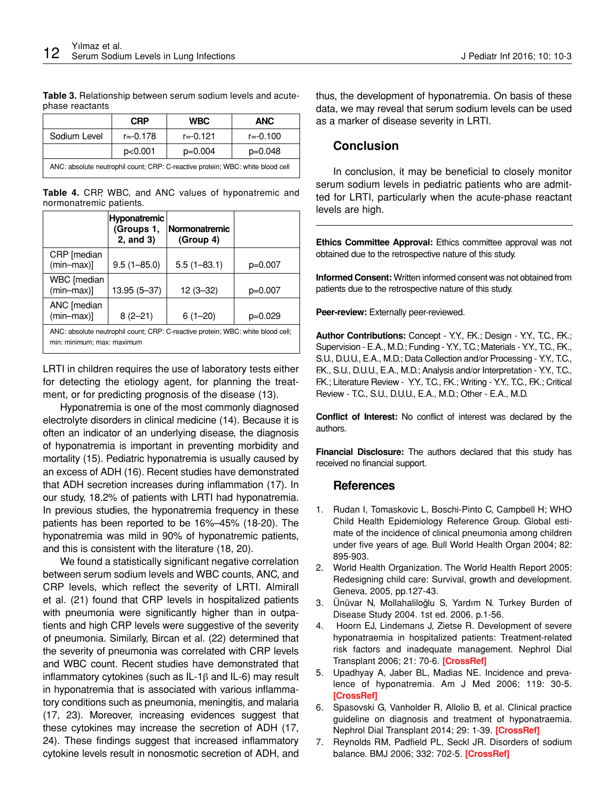**Table 3.** Relationship between serum sodium levels and acutephase reactants

|                                                                                | <b>CRP</b>   | <b>WBC</b> | <b>ANC</b>   |  |
|--------------------------------------------------------------------------------|--------------|------------|--------------|--|
| Sodium Level                                                                   | $r = -0.178$ | r=-0.121   | $r = -0.100$ |  |
|                                                                                | p<0.001      | $p=0.004$  | $p=0.048$    |  |
| ANC: absolute neutrophil count; CRP: C-reactive protein; WBC: white blood cell |              |            |              |  |

**Table 4.** CRP, WBC, and ANC values of hyponatremic and normonatremic patients.

|                                                                                                               | Hyponatremic<br>(Groups 1,<br>2, and 3) | <b>Normonatremic</b><br>(Group 4) |           |
|---------------------------------------------------------------------------------------------------------------|-----------------------------------------|-----------------------------------|-----------|
| CRP [median<br>$(min-max)]$                                                                                   | $9.5(1 - 85.0)$                         | $5.5(1 - 83.1)$                   | $p=0.007$ |
| WBC [median<br>$(min-max)]$                                                                                   | 13.95 (5-37)                            | $12(3-32)$                        | $p=0.007$ |
| ANC [median<br>$(min-max)]$                                                                                   | $8(2-21)$                               | $6(1-20)$                         | $p=0.029$ |
| ANC: absolute neutrophil count; CRP: C-reactive protein; WBC: white blood cell;<br>min: minimum; max: maximum |                                         |                                   |           |

LRTI in children requires the use of laboratory tests either for detecting the etiology agent, for planning the treatment, or for predicting prognosis of the disease (13).

Hyponatremia is one of the most commonly diagnosed electrolyte disorders in clinical medicine (14). Because it is often an indicator of an underlying disease, the diagnosis of hyponatremia is important in preventing morbidity and mortality (15). Pediatric hyponatremia is usually caused by an excess of ADH (16). Recent studies have demonstrated that ADH secretion increases during inflammation (17). In our study, 18.2% of patients with LRTI had hyponatremia. In previous studies, the hyponatremia frequency in these patients has been reported to be 16%–45% (18-20). The hyponatremia was mild in 90% of hyponatremic patients, and this is consistent with the literature (18, 20).

We found a statistically significant negative correlation between serum sodium levels and WBC counts, ANC, and CRP levels, which reflect the severity of LRTI. Almirall et al. (21) found that CRP levels in hospitalized patients with pneumonia were significantly higher than in outpatients and high CRP levels were suggestive of the severity of pneumonia. Similarly, Bircan et al. (22) determined that the severity of pneumonia was correlated with CRP levels and WBC count. Recent studies have demonstrated that inflammatory cytokines (such as IL-1β and IL-6) may result in hyponatremia that is associated with various inflammatory conditions such as pneumonia, meningitis, and malaria (17, 23). Moreover, increasing evidences suggest that these cytokines may increase the secretion of ADH (17, 24). These findings suggest that increased inflammatory cytokine levels result in nonosmotic secretion of ADH, and

thus, the development of hyponatremia. On basis of these data, we may reveal that serum sodium levels can be used as a marker of disease severity in LRTI.

### **Conclusion**

In conclusion, it may be beneficial to closely monitor serum sodium levels in pediatric patients who are admitted for LRTI, particularly when the acute-phase reactant levels are high.

**Ethics Committee Approval:** Ethics committee approval was not obtained due to the retrospective nature of this study.

**Informed Consent:** Written informed consent was not obtained from patients due to the retrospective nature of this study.

**Peer-review:** Externally peer-reviewed.

**Author Contributions:** Concept - Y.Y., F.K.; Design - Y.Y., T.C., F.K.; Supervision - E.A., M.D.; Funding - Y.Y., T.C.; Materials - Y.Y., T.C., F.K., S.U., D.U.U., E.A., M.D.; Data Collection and/or Processing - Y.Y., T.C., F.K., S.U., D.U.U., E.A., M.D.; Analysis and/or Interpretation - Y.Y., T.C., F.K.; Literature Review - Y.Y., T.C., F.K.; Writing - Y.Y., T.C., F.K.; Critical Review - T.C., S.U., D.U.U., E.A., M.D.; Other - E.A., M.D.

**Conflict of Interest:** No conflict of interest was declared by the authors.

**Financial Disclosure:** The authors declared that this study has received no financial support.

#### **References**

- 1. Rudan I, Tomaskovic L, Boschi-Pinto C, Campbell H; WHO Child Health Epidemiology Reference Group. Global estimate of the incidence of clinical pneumonia among children under five years of age. Bull World Health Organ 2004; 82: 895-903.
- 2. World Health Organization. The World Health Report 2005: Redesigning child care: Survival, growth and development. Geneva, 2005, pp.127-43.
- 3. Ünüvar N, Mollahaliloğlu S, Yardım N. Turkey Burden of Disease Study 2004. 1st ed. 2006. p.1-56.
- 4. Hoorn EJ, Lindemans J, Zietse R. Development of severe hyponatraemia in hospitalized patients: Treatment-related risk factors and inadequate management. Nephrol Dial Transplant 2006; 21: 70-6. **[\[CrossRef\]](http://dx.doi.org/10.1093/ndt/gfi082)**
- 5. Upadhyay A, Jaber BL, Madias NE. Incidence and prevalence of hyponatremia. Am J Med 2006; 119: 30-5. **[\[CrossRef\]](http://dx.doi.org/10.1016/j.amjmed.2006.05.005)**
- 6. Spasovski G, Vanholder R, Allolio B, et al. Clinical practice guideline on diagnosis and treatment of hyponatraemia. Nephrol Dial Transplant 2014; 29: 1-39. **[\[CrossRef\]](http://dx.doi.org/10.1093/ndt/gfu040)**
- 7. Reynolds RM, Padfield PL, Seckl JR. Disorders of sodium balance. BMJ 2006; 332: 702-5. **[\[CrossRef\]](http://dx.doi.org/10.1136/bmj.332.7543.702)**